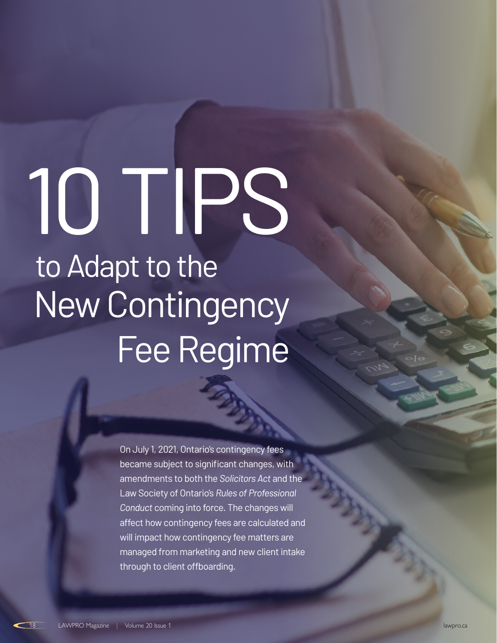# to Adapt to the New Contingency Fee Regime 10 TIPS

On July 1, 2021, Ontario's contingency fees became subject to significant changes, with amendments to both the *Solicitors Act* and the Law Society of Ontario's *Rules of Professional Conduct* coming into force. The changes will affect how contingency fees are calculated and will impact how contingency fee matters are managed from marketing and new client intake through to client offboarding.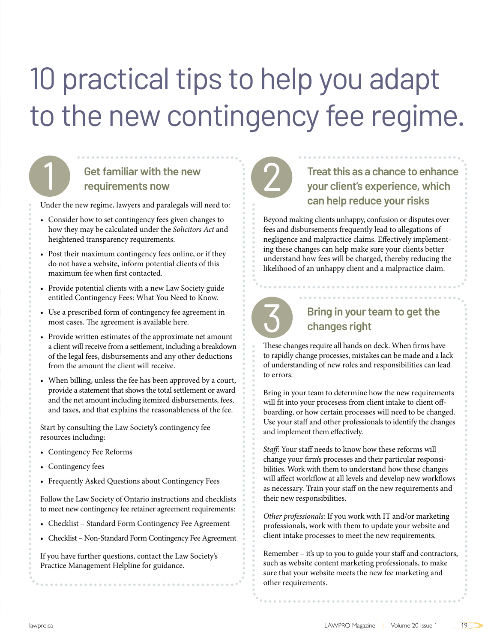# 10 practical tips to help you adapt to the new contingency fee regime.

### **Get familiar with the new requirements now**

Under the new regime, lawyers and paralegals will need to:

- Consider how to set contingency fees given changes to how they may be calculated under the *Solicitors Act* and heightened transparency requirements.
- Post their maximum contingency fees online, or if they do not have a website, inform potential clients of this maximum fee when first contacted.
- Provide potential clients with a new Law Society guide entitled [Contingency Fees: What You Need to Know.](https://lawsocietyontario.azureedge.net/media/lso/media/about/initiatives/en_contingencyfee_consumerguide-april2021.pdf)
- Use a prescribed form of contingency fee agreement in most cases. The agreement is available [here.](https://lso.ca/about-lso/initiatives/contingency-fee-reforms)
- Provide written estimates of the approximate net amount a client will receive from a settlement, including a breakdown of the legal fees, disbursements and any other deductions from the amount the client will receive.
- When billing, unless the fee has been approved by a court, provide a statement that shows the total settlement or award and the net amount including itemized disbursements, fees, and taxes, and that explains the reasonableness of the fee.

Start by consulting the Law Society's contingency fee resources including:

- [Contingency Fee Reforms](https://lso.ca/about-lso/initiatives/contingency-fee-reforms)
- [Contingency fees](https://lso.ca/lawyers/practice-supports-and-resources/topics/managing-money/fees-and-disbursements/contingency-fees)

j |<br>|

1

• [Frequently Asked Questions about Contingency Fees](https://lso.ca/lawyers/practice-supports-and-resources/topics/managing-money/fees-and-disbursements/contingency-fees/frequently-asked-questions-about-contingency-fees)

Follow the Law Society of Ontario instructions and checklists to meet new contingency fee retainer agreement requirements:

- [Checklist Standard Form Contingency Fee Agreement](https://lawsocietyontario.azureedge.net/media/lso/media/lawyers/practice-supports-resources/standard-form-contingency-fee-agreement-checklist-en.pdf)
- [Checklist Non-Standard Form Contingency Fee Agreement](https://lawsocietyontario.azureedge.net/media/lso/media/lawyers/practice-supports-resources/non-standard-form-contingency-fee-agreement-checklist-en.pdf)

If you have further questions, contact the Law Society's [Practice Management Helpline f](https://lso.ca/lawyers/practice-supports-and-resources/practice-management-helpline)or guidance.



# 2 **Treat this as a chance to enhance your client's experience, which can help reduce your risks**

Beyond making clients unhappy, confusion or disputes over fees and disbursements frequently lead to allegations of negligence and malpractice claims. Effectively implementing these changes can help make sure your clients better understand how fees will be charged, thereby reducing the likelihood of an unhappy client and a malpractice claim.



#### 3 **Bring in your team to get the changes right**

These changes require all hands on deck. When firms have to rapidly change processes, mistakes can be made and a lack of understanding of new roles and responsibilities can lead to errors.

Bring in your team to determine how the new requirements will fit into your procesess from client intake to client offboarding, or how certain processes will need to be changed. Use your staff and other professionals to identify the changes and implement them effectively.

*Staff:* Your staff needs to know how these reforms will change your firm's processes and their particular responsibilities. Work with them to understand how these changes will affect workflow at all levels and develop new workflows as necessary. Train your staff on the new requirements and their new responsibilities.

*Other professionals:* If you work with IT and/or marketing professionals, work with them to update your website and client intake processes to meet the new requirements.

Remember – it's up to you to guide your staff and contractors, such as website content marketing professionals, to make sure that your website meets the new fee marketing and other requirements.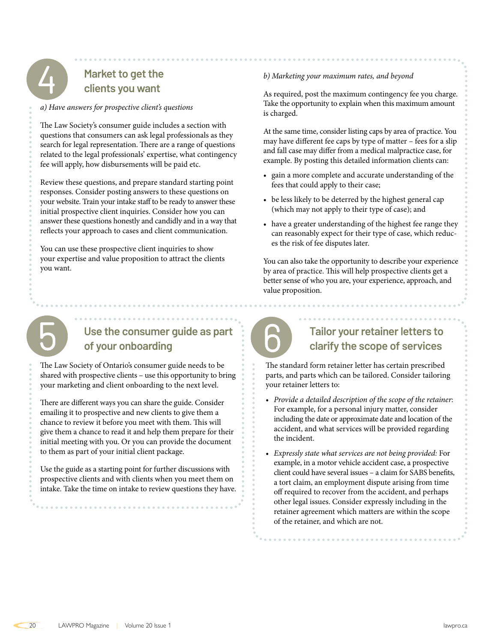

#### **Market to get the clients you want**

*a) Have answers for prospective client's questions*

The Law Society's consumer guide includes a section with questions that consumers can ask legal professionals as they search for legal representation. There are a range of questions related to the legal professionals' expertise, what contingency fee will apply, how disbursements will be paid etc.

Review these questions, and prepare standard starting point responses. Consider posting answers to these questions on your website. Train your intake staff to be ready to answer these initial prospective client inquiries. Consider how you can answer these questions honestly and candidly and in a way that reflects your approach to cases and client communication.

You can use these prospective client inquiries to show your expertise and value proposition to attract the clients you want.

#### *b) Marketing your maximum rates, and beyond*

As required, post the maximum contingency fee you charge. Take the opportunity to explain when this maximum amount is charged.

At the same time, consider listing caps by area of practice. You may have different fee caps by type of matter – fees for a slip and fall case may differ from a medical malpractice case, for example. By posting this detailed information clients can:

- gain a more complete and accurate understanding of the fees that could apply to their case;
- be less likely to be deterred by the highest general cap (which may not apply to their type of case); and
- have a greater understanding of the highest fee range they can reasonably expect for their type of case, which reduces the risk of fee disputes later.

You can also take the opportunity to describe your experience by area of practice. This will help prospective clients get a better sense of who you are, your experience, approach, and value proposition.

# **ն**

# Use the consumer guide as part<br>
of your onboarding **of your onboarding**

The Law Society of Ontario's consumer guide needs to be shared with prospective clients – use this opportunity to bring your marketing and client onboarding to the next level.

There are different ways you can share the guide. Consider emailing it to prospective and new clients to give them a chance to review it before you meet with them. This will give them a chance to read it and help them prepare for their initial meeting with you. Or you can provide the document to them as part of your initial client package.

Use the guide as a starting point for further discussions with prospective clients and with clients when you meet them on intake. Take the time on intake to review questions they have.



#### **Tailor your retainer letters to clarify the scope of services**

The standard form retainer letter has certain prescribed parts, and parts which can be tailored. Consider tailoring your retainer letters to:

- *Provide a detailed description of the scope of the retainer*: For example, for a personal injury matter, consider including the date or approximate date and location of the accident, and what services will be provided regarding the incident.
- *Expressly state what services are not being provided:* For example, in a motor vehicle accident case, a prospective client could have several issues – a claim for SABS benefits, a tort claim, an employment dispute arising from time off required to recover from the accident, and perhaps other legal issues. Consider expressly including in the retainer agreement which matters are within the scope of the retainer, and which are not.